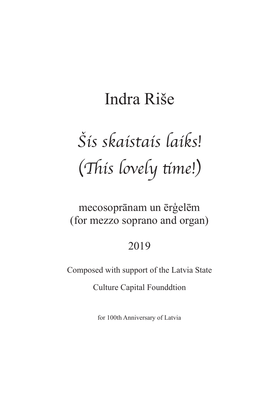## Indra Riše

# Šis skaistais laiks! (This lovely time!)

## mecosoprānam un ērģelēm (for mezzo soprano and organ)

### 2019

Composed with support of the Latvia State

**Culture Capital Founddtion** 

for 100th Anniversary of Latvia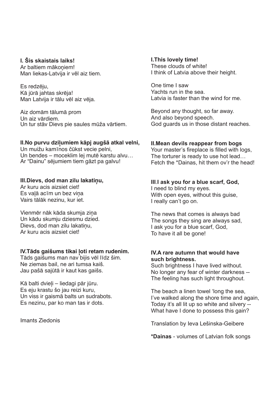#### **I. Šis skaistais laiks!**

Ar baltiem mākoniem! Man liekas-Latvija ir vēl aiz tiem.

Es redzēju, Kā jūrā jahtas skrēja! Man Latvija ir tālu vēl aiz vēja.

Aiz domām tālumā prom Un aiz vārdiem. Un tur stāv Dievs pie saules mūža vārtiem.

#### **II.No purvu dziļumiem kāpj augšā atkal velni,**

Un muižu kamīnos čūkst vecie pelni, Un bendes – moceklim lej mutē karstu alvu… Ar "Dainu" sējumiem tiem gāzt pa galvu!

#### **III.Dievs, dod man zilu lakatiņu,**

Ar kuru acis aizsiet ciet! Es vaļā acīm un bez viņa Vairs tālāk nezinu, kur iet.

Vienmēr nāk kāda skumja ziņa Un kādu skumju dziesmu dzied. Dievs, dod man zilu lakatinu, Ar kuru acis aizsiet ciet!

#### **IV.Tāds gaišums tikai ļoti retam rudenim.**

Tāds gaišums man nav bijis vēl līdz šim. Ne ziemas bail, ne ari tumsa kaiš. Jau pašā sajūtā ir kaut kas gaišs.

Kā balti dvieļi – liedagi pār jūru. Es eju krastu šo jau reizi kuru, Un viss ir gaismā balts un sudrabots. Es nezinu, par ko man tas ir dots.

Imants Ziedonis

#### **I.This lovely time!** These clouds of white! I think of Latvia above their height.

One time I saw Yachts run in the sea. Latvia is faster than the wind for me.

Beyond any thought, so far away. And also beyond speech. God guards us in those distant reaches.

#### **II.Mean devils reappear from bogs**

Your master's fireplace is filled with logs, The torturer is ready to use hot lead… Fetch the \*Dainas, hit them ov'r the head!

#### **III**.**I ask you for a blue scarf, God,**

I need to blind my eyes. With open eyes, without this guise, I really can't go on.

The news that comes is always bad The songs they sing are always sad, I ask you for a blue scarf, God, To have it all be gone!

#### **IV.A rare autumn that would have such brightness.**

Such brightness I have lived without. No longer any fear of winter darkness -- The feeling has such light throughout.

The beach a linen towel 'long the sea, I've walked along the shore time and again, Today it's all lit up so white and silvery -- What have I done to possess this gain?

Translation by Ieva Lešinska-Geibere

**\*Dainas** - volumes of Latvian folk songs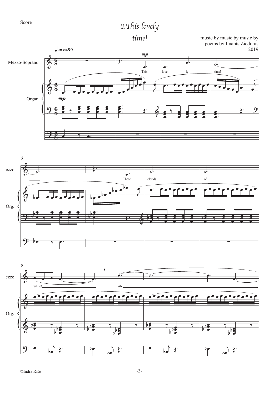## *I.*!*is lovely*



**time!** music by music by music by music by  $\frac{1}{2}$  poems by Imants Ziedonis 2019





 $\bm{\bm{\phi}}$ <u>9:</u> œ œ ě<br>C  $\frac{1}{2}$   $\frac{1}{2}$ œ ě<br>O b b ‰  $\bullet$  $\frac{1}{2}$  $\overline{\bullet}$ œ ë<br>J b  $\frac{1}{2}$   $\frac{1}{2}$   $\frac{1}{2}$ œ ĕ<br>Ø b b ‰  $\overline{P}$  $\begin{matrix} \cdot & \cdot & \cdot \\ \cdot & \cdot & \cdot \\ \cdot & \cdot & \cdot \end{matrix}$ œ œ ě<br>C  $\frac{1}{2}$   $\frac{1}{2}$ œ ě<br>O b b ‰  $\bullet$  $\frac{1}{2}$  $\overline{\bullet}$ œ ē<br>O b  $\frac{1}{2}$   $\frac{1}{2}$   $\frac{1}{2}$ œ ĕ<br>Ø b b ‰  $\overline{P}$  $\begin{matrix} \cdot & \cdot & \cdot \\ \cdot & \cdot & \cdot \\ \cdot & \cdot & \cdot \end{matrix}$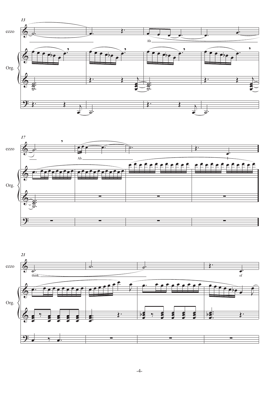



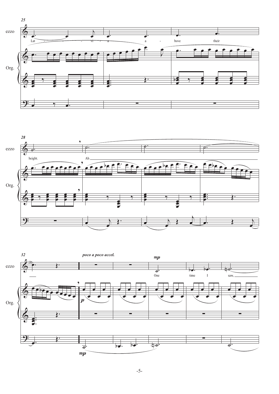